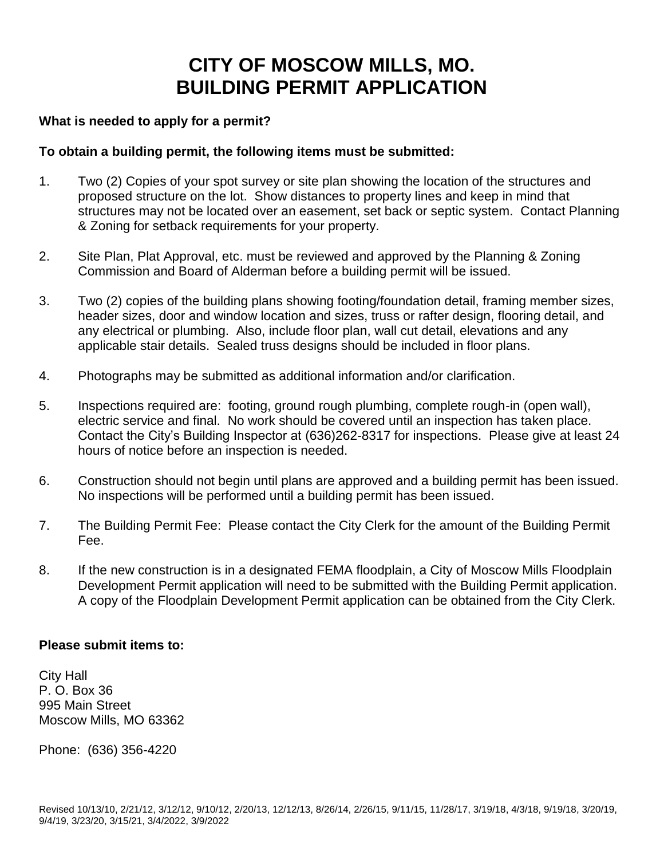# **CITY OF MOSCOW MILLS, MO. BUILDING PERMIT APPLICATION**

# **What is needed to apply for a permit?**

### **To obtain a building permit, the following items must be submitted:**

- 1. Two (2) Copies of your spot survey or site plan showing the location of the structures and proposed structure on the lot. Show distances to property lines and keep in mind that structures may not be located over an easement, set back or septic system. Contact Planning & Zoning for setback requirements for your property.
- 2. Site Plan, Plat Approval, etc. must be reviewed and approved by the Planning & Zoning Commission and Board of Alderman before a building permit will be issued.
- 3. Two (2) copies of the building plans showing footing/foundation detail, framing member sizes, header sizes, door and window location and sizes, truss or rafter design, flooring detail, and any electrical or plumbing. Also, include floor plan, wall cut detail, elevations and any applicable stair details. Sealed truss designs should be included in floor plans.
- 4. Photographs may be submitted as additional information and/or clarification.
- 5. Inspections required are: footing, ground rough plumbing, complete rough-in (open wall), electric service and final. No work should be covered until an inspection has taken place. Contact the City's Building Inspector at (636)262-8317 for inspections. Please give at least 24 hours of notice before an inspection is needed.
- 6. Construction should not begin until plans are approved and a building permit has been issued. No inspections will be performed until a building permit has been issued.
- 7. The Building Permit Fee: Please contact the City Clerk for the amount of the Building Permit Fee.
- 8. If the new construction is in a designated FEMA floodplain, a City of Moscow Mills Floodplain Development Permit application will need to be submitted with the Building Permit application. A copy of the Floodplain Development Permit application can be obtained from the City Clerk.

#### **Please submit items to:**

City Hall P. O. Box 36 995 Main Street Moscow Mills, MO 63362

Phone: (636) 356-4220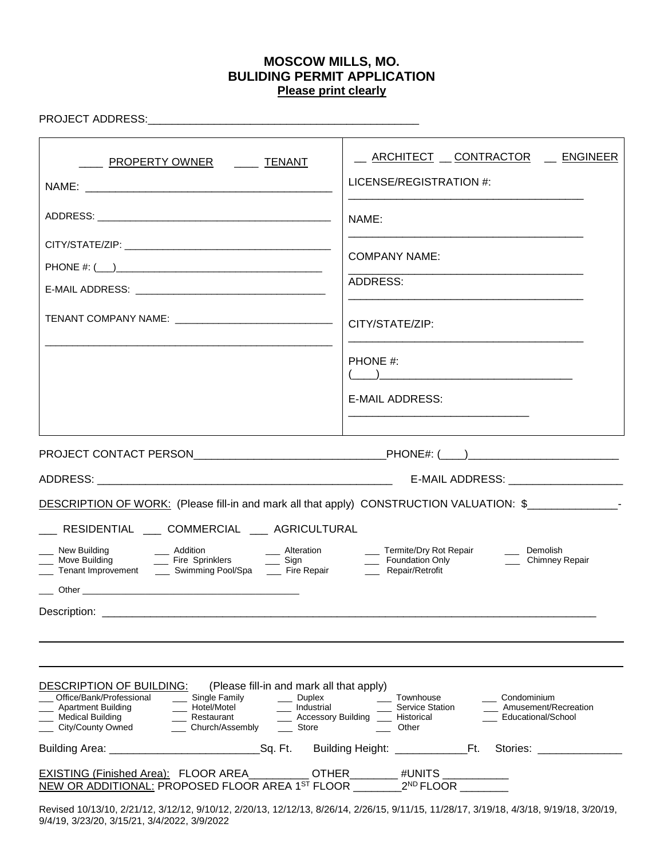# **MOSCOW MILLS, MO. BULIDING PERMIT APPLICATION Please print clearly**

PROJECT ADDRESS:\_\_\_\_\_\_\_\_\_\_\_\_\_\_\_\_\_\_\_\_\_\_\_\_\_\_\_\_\_\_\_\_\_\_\_\_\_\_\_\_\_\_\_\_\_

| <u>______ PROPERTY OWNER _______ TENANT</u>                                                                                                                                                                                                                                                                                                                                                                                                                                                                          | _ ARCHITECT _ CONTRACTOR _ ENGINEER<br>LICENSE/REGISTRATION #:                                                              |
|----------------------------------------------------------------------------------------------------------------------------------------------------------------------------------------------------------------------------------------------------------------------------------------------------------------------------------------------------------------------------------------------------------------------------------------------------------------------------------------------------------------------|-----------------------------------------------------------------------------------------------------------------------------|
| TENANT COMPANY NAME: ___________________________________                                                                                                                                                                                                                                                                                                                                                                                                                                                             | NAME:<br><b>COMPANY NAME:</b><br>ADDRESS:<br>CITY/STATE/ZIP:<br>PHONE #:<br><b>E-MAIL ADDRESS:</b>                          |
| DESCRIPTION OF WORK: (Please fill-in and mark all that apply) CONSTRUCTION VALUATION: \$<br>___ RESIDENTIAL ___ COMMERCIAL ___ AGRICULTURAL<br>Description: the contract of the contract of the contract of the contract of the contract of the contract of the contract of the contract of the contract of the contract of the contract of the contract of the contract of t                                                                                                                                        | ___ Demolish<br>Chimney Repair                                                                                              |
| <b>DESCRIPTION OF BUILDING:</b><br>(Please fill-in and mark all that apply)<br>__ Single Family<br>Office/Bank/Professional<br>$\rule{1em}{0.15mm}$ Duplex<br>___ Industrial<br>Martment Building<br>Apartment Building Martin Restaurant<br>__ Restaurant<br>_ Medical Building<br>___ Accessory Building<br>___ City/County Owned<br>Church/Assembly<br>__ Store<br>EXISTING (Finished Area): FLOOR AREA__________OTHER________ #UNITS _____________<br>NEW OR ADDITIONAL: PROPOSED FLOOR AREA 1ST FLOOR 2ND FLOOR | Townhouse<br>___ Condominium<br><b>Service Station</b><br>Amusement/Recreation<br>Historical<br>Educational/School<br>Other |

Revised 10/13/10, 2/21/12, 3/12/12, 9/10/12, 2/20/13, 12/12/13, 8/26/14, 2/26/15, 9/11/15, 11/28/17, 3/19/18, 4/3/18, 9/19/18, 3/20/19, 9/4/19, 3/23/20, 3/15/21, 3/4/2022, 3/9/2022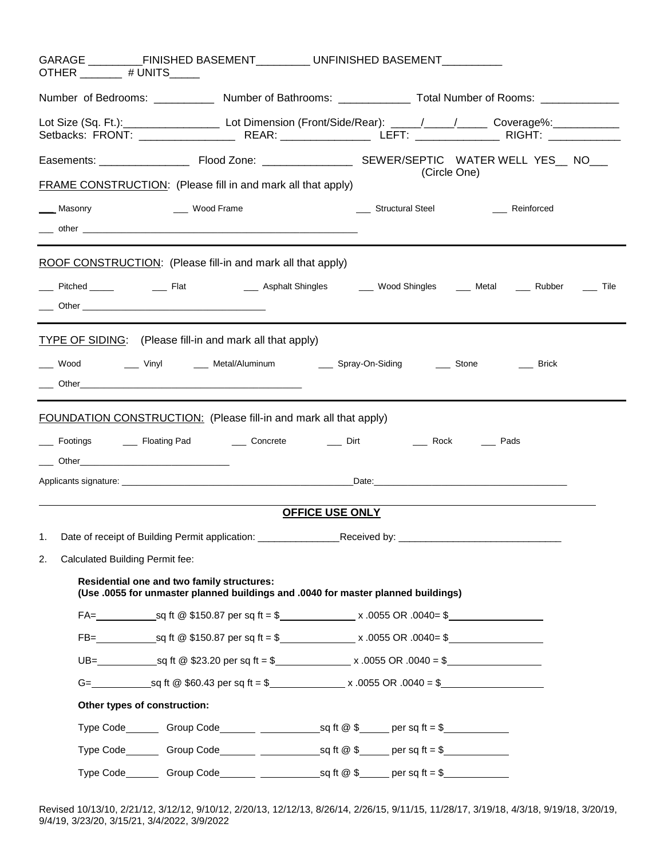| OTHER ________ # UNITS_____ |                                                                                                                                                                                                                                | GARAGE ______________FINISHED BASEMENT_____________UNFINISHED BASEMENT___________                                                      |
|-----------------------------|--------------------------------------------------------------------------------------------------------------------------------------------------------------------------------------------------------------------------------|----------------------------------------------------------------------------------------------------------------------------------------|
|                             |                                                                                                                                                                                                                                | Number of Bedrooms: _____________ Number of Bathrooms: ______________ Total Number of Rooms: _____________                             |
|                             |                                                                                                                                                                                                                                | Lot Size (Sq. Ft.):___________________________ Lot Dimension (Front/Side/Rear): _____/_____/______________Coverage%:__________________ |
|                             |                                                                                                                                                                                                                                |                                                                                                                                        |
|                             | <b>FRAME CONSTRUCTION:</b> (Please fill in and mark all that apply)                                                                                                                                                            | (Circle One)                                                                                                                           |
|                             | Masonry Mass Control Muslim Muslim Muslim Muslim Muslim Muslim Muslim Muslim Muslim Muslim Muslim Muslim Muslim Muslim Muslim Muslim Muslim Muslim Muslim Muslim Muslim Muslim Muslim Muslim Muslim Muslim Muslim Muslim Musli | ___ Structural Steel ____ Reinforced                                                                                                   |
|                             | ROOF CONSTRUCTION: (Please fill-in and mark all that apply)                                                                                                                                                                    |                                                                                                                                        |
|                             |                                                                                                                                                                                                                                | _____ Pitched ______    _____ Flat      _____ Asphalt Shingles   _____ Wood Shingles  _____ Metal  ____ Rubber  ____ Tile              |
|                             | TYPE OF SIDING: (Please fill-in and mark all that apply)                                                                                                                                                                       | ____ Wood _______ Vinyl ______ Metal/Aluminum _______ Spray-On-Siding _______ Stone _________ Brick                                    |
|                             | <b>FOUNDATION CONSTRUCTION:</b> (Please fill-in and mark all that apply)                                                                                                                                                       |                                                                                                                                        |
|                             |                                                                                                                                                                                                                                |                                                                                                                                        |
|                             |                                                                                                                                                                                                                                |                                                                                                                                        |
|                             |                                                                                                                                                                                                                                |                                                                                                                                        |
|                             |                                                                                                                                                                                                                                | <b>OFFICE USE ONLY</b>                                                                                                                 |
|                             | 1. Date of receipt of Building Permit application: ______________________________Received by:                                                                                                                                  |                                                                                                                                        |
| 2.                          | Calculated Building Permit fee:                                                                                                                                                                                                |                                                                                                                                        |
|                             | <b>Residential one and two family structures:</b><br>(Use .0055 for unmaster planned buildings and .0040 for master planned buildings)                                                                                         |                                                                                                                                        |
|                             |                                                                                                                                                                                                                                | $FA =$ sq ft @ \$150.87 per sq ft = \$ x .0055 OR .0040= \$                                                                            |
|                             |                                                                                                                                                                                                                                |                                                                                                                                        |
|                             |                                                                                                                                                                                                                                |                                                                                                                                        |
|                             |                                                                                                                                                                                                                                |                                                                                                                                        |
|                             | Other types of construction:                                                                                                                                                                                                   |                                                                                                                                        |
|                             |                                                                                                                                                                                                                                |                                                                                                                                        |
|                             |                                                                                                                                                                                                                                | Type Code Group Code Group Code Service Sq ft @ \$                                                                                     |
|                             |                                                                                                                                                                                                                                |                                                                                                                                        |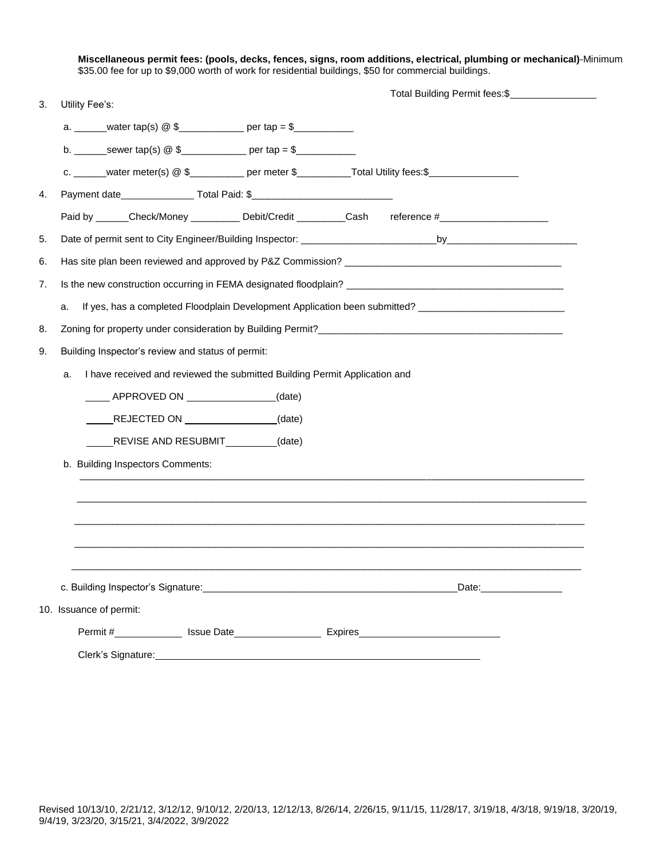**Miscellaneous permit fees: (pools, decks, fences, signs, room additions, electrical, plumbing or mechanical)**-Minimum \$35.00 fee for up to \$9,000 worth of work for residential buildings, \$50 for commercial buildings.

|    |                                                                                                         |  | Total Building Permit fees: \$                                                                                |
|----|---------------------------------------------------------------------------------------------------------|--|---------------------------------------------------------------------------------------------------------------|
| 3. | Utility Fee's:                                                                                          |  |                                                                                                               |
|    |                                                                                                         |  |                                                                                                               |
|    | b. _________ sewer tap(s) @ \$_______________ per tap = \$________________________                      |  |                                                                                                               |
|    | c. ______water meter(s) @ \$_________ per meter \$_________Total Utility fees:\$_______________________ |  |                                                                                                               |
| 4. | Payment date____________________Total Paid: \$___________________________________                       |  |                                                                                                               |
|    | Paid by ______Check/Money ___________Debit/Credit _________Cash reference #________________________     |  |                                                                                                               |
| 5. |                                                                                                         |  |                                                                                                               |
| 6. |                                                                                                         |  |                                                                                                               |
| 7. |                                                                                                         |  |                                                                                                               |
|    | a.                                                                                                      |  | If yes, has a completed Floodplain Development Application been submitted? __________________________________ |
| 8. |                                                                                                         |  |                                                                                                               |
| 9. | Building Inspector's review and status of permit:                                                       |  |                                                                                                               |
|    | I have received and reviewed the submitted Building Permit Application and<br>a.                        |  |                                                                                                               |
|    | _____ APPROVED ON ________________(date)                                                                |  |                                                                                                               |
|    | REJECTED ON __________________(date)                                                                    |  |                                                                                                               |
|    | REVISE AND RESUBMIT (date)                                                                              |  |                                                                                                               |
|    | b. Building Inspectors Comments:                                                                        |  |                                                                                                               |
|    |                                                                                                         |  |                                                                                                               |
|    |                                                                                                         |  |                                                                                                               |
|    |                                                                                                         |  |                                                                                                               |
|    |                                                                                                         |  |                                                                                                               |
|    |                                                                                                         |  |                                                                                                               |
|    |                                                                                                         |  | Date:________________                                                                                         |
|    | 10. Issuance of permit:                                                                                 |  |                                                                                                               |
|    |                                                                                                         |  |                                                                                                               |
|    |                                                                                                         |  |                                                                                                               |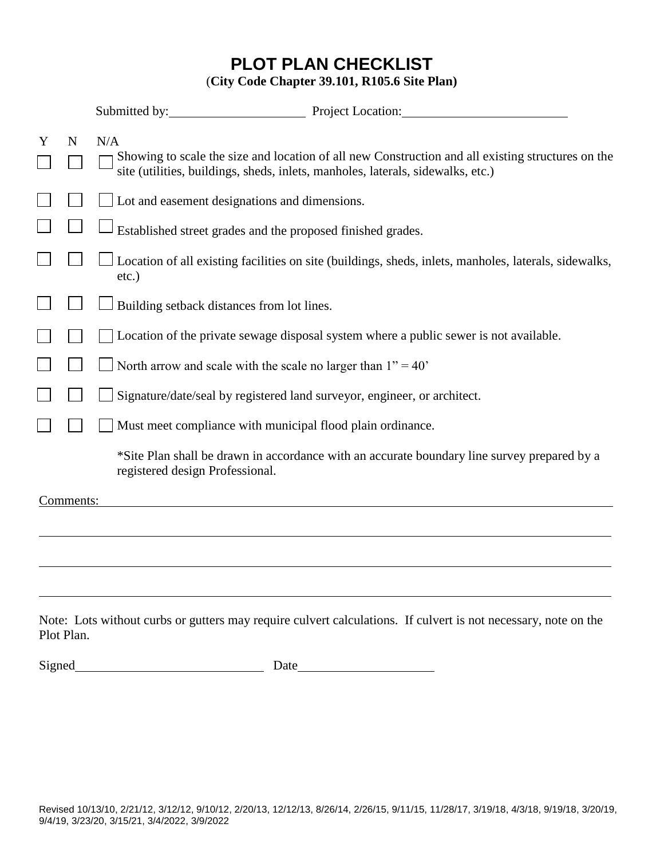# **PLOT PLAN CHECKLIST** (**City Code Chapter 39.101, R105.6 Site Plan)**

|   |             | Submitted by: Project Location:                                                                                                                                                                                                                                                                                                                                                                                                                                                                                                                                                                      |
|---|-------------|------------------------------------------------------------------------------------------------------------------------------------------------------------------------------------------------------------------------------------------------------------------------------------------------------------------------------------------------------------------------------------------------------------------------------------------------------------------------------------------------------------------------------------------------------------------------------------------------------|
| Y | $\mathbf N$ | N/A<br>Showing to scale the size and location of all new Construction and all existing structures on the<br>site (utilities, buildings, sheds, inlets, manholes, laterals, sidewalks, etc.)                                                                                                                                                                                                                                                                                                                                                                                                          |
|   |             | Lot and easement designations and dimensions.                                                                                                                                                                                                                                                                                                                                                                                                                                                                                                                                                        |
|   |             | Established street grades and the proposed finished grades.                                                                                                                                                                                                                                                                                                                                                                                                                                                                                                                                          |
|   |             | Location of all existing facilities on site (buildings, sheds, inlets, manholes, laterals, sidewalks,<br>$etc.$ )                                                                                                                                                                                                                                                                                                                                                                                                                                                                                    |
|   |             | Building setback distances from lot lines.                                                                                                                                                                                                                                                                                                                                                                                                                                                                                                                                                           |
|   |             | Location of the private sewage disposal system where a public sewer is not available.                                                                                                                                                                                                                                                                                                                                                                                                                                                                                                                |
|   |             | North arrow and scale with the scale no larger than $1" = 40"$                                                                                                                                                                                                                                                                                                                                                                                                                                                                                                                                       |
|   |             | Signature/date/seal by registered land surveyor, engineer, or architect.                                                                                                                                                                                                                                                                                                                                                                                                                                                                                                                             |
|   |             | Must meet compliance with municipal flood plain ordinance.                                                                                                                                                                                                                                                                                                                                                                                                                                                                                                                                           |
|   |             | *Site Plan shall be drawn in accordance with an accurate boundary line survey prepared by a<br>registered design Professional.                                                                                                                                                                                                                                                                                                                                                                                                                                                                       |
|   | Comments:   |                                                                                                                                                                                                                                                                                                                                                                                                                                                                                                                                                                                                      |
|   |             |                                                                                                                                                                                                                                                                                                                                                                                                                                                                                                                                                                                                      |
|   |             |                                                                                                                                                                                                                                                                                                                                                                                                                                                                                                                                                                                                      |
|   |             |                                                                                                                                                                                                                                                                                                                                                                                                                                                                                                                                                                                                      |
|   |             | $\mathbf{r}$ and $\mathbf{r}$ and $\mathbf{r}$ and $\mathbf{r}$ and $\mathbf{r}$ and $\mathbf{r}$ and $\mathbf{r}$ and $\mathbf{r}$ and $\mathbf{r}$ and $\mathbf{r}$ and $\mathbf{r}$ and $\mathbf{r}$ and $\mathbf{r}$ and $\mathbf{r}$ and $\mathbf{r}$ and $\mathbf{r}$ and $\mathbf{r}$ and<br>$\mathbf{M}$ and $\mathbf{M}$ and $\mathbf{M}$ and $\mathbf{M}$ and $\mathbf{M}$ and $\mathbf{M}$ and $\mathbf{M}$ and $\mathbf{M}$ and $\mathbf{M}$ and $\mathbf{M}$ and $\mathbf{M}$ and $\mathbf{M}$ and $\mathbf{M}$ and $\mathbf{M}$ and $\mathbf{M}$ and $\mathbf{M}$ and $\mathbf{M}$ and |

Note: Lots without curbs or gutters may require culvert calculations. If culvert is not necessary, note on the Plot Plan.

Signed
<u>University</u> Date
Date
<sub>Date</sub>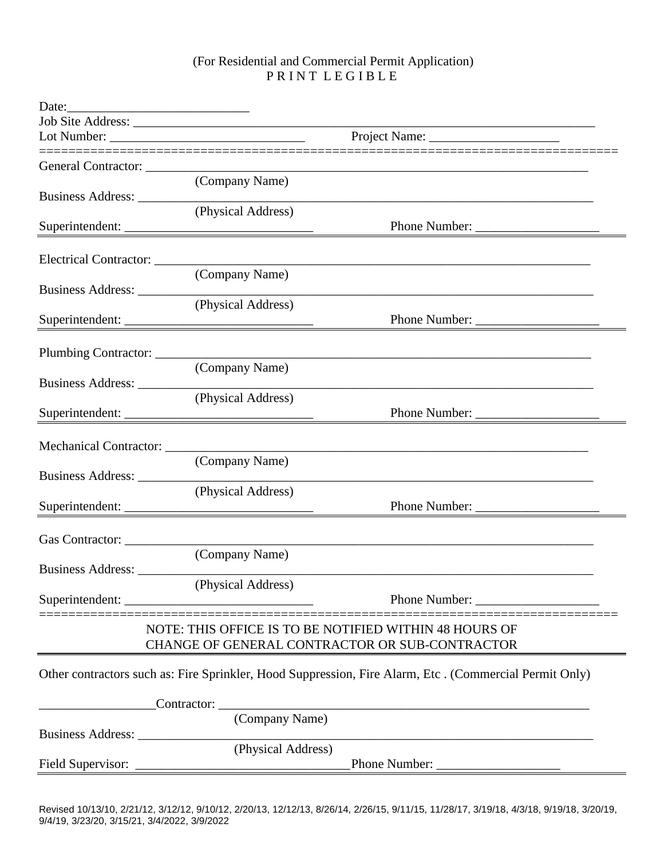#### (For Residential and Commercial Permit Application) P R I N T L E G I B L E

| Date: $\frac{1}{\sqrt{1-\frac{1}{2}} \cdot \frac{1}{2}}$ |                                                                                                                                                                                                                               |               |  |
|----------------------------------------------------------|-------------------------------------------------------------------------------------------------------------------------------------------------------------------------------------------------------------------------------|---------------|--|
|                                                          |                                                                                                                                                                                                                               |               |  |
|                                                          |                                                                                                                                                                                                                               |               |  |
|                                                          |                                                                                                                                                                                                                               |               |  |
|                                                          | (Company Name)                                                                                                                                                                                                                |               |  |
|                                                          | (Physical Address)<br>Superintendent:                                                                                                                                                                                         | Phone Number: |  |
|                                                          |                                                                                                                                                                                                                               |               |  |
|                                                          | (Company Name)                                                                                                                                                                                                                |               |  |
|                                                          | Business Address: New York 2014 19:30 and 2014 19:30 and 2014 19:30 and 20:30 and 20:30 and 20:30 and 20:30 and 20:30 and 20:30 and 20:30 and 20:30 and 20:30 and 20:30 and 20:30 and 20:30 and 20:30 and 20:30 and 20:30 and |               |  |
|                                                          | (Physical Address)<br>Superintendent:                                                                                                                                                                                         |               |  |
|                                                          |                                                                                                                                                                                                                               |               |  |
|                                                          | (Company Name)                                                                                                                                                                                                                |               |  |
|                                                          | (Physical Address)                                                                                                                                                                                                            |               |  |
|                                                          | Superintendent:                                                                                                                                                                                                               | Phone Number: |  |
|                                                          |                                                                                                                                                                                                                               |               |  |
|                                                          | (Company Name)                                                                                                                                                                                                                |               |  |
| Business Address: __________                             | (Physical Address)                                                                                                                                                                                                            |               |  |
|                                                          | Superintendent:                                                                                                                                                                                                               | Phone Number: |  |
| Gas Contractor:                                          |                                                                                                                                                                                                                               |               |  |
|                                                          | (Company Name)                                                                                                                                                                                                                |               |  |
|                                                          | Business Address: New York 1988.<br>(Physical Address)                                                                                                                                                                        |               |  |
|                                                          |                                                                                                                                                                                                                               |               |  |
|                                                          | NOTE: THIS OFFICE IS TO BE NOTIFIED WITHIN 48 HOURS OF<br>CHANGE OF GENERAL CONTRACTOR OR SUB-CONTRACTOR                                                                                                                      |               |  |
|                                                          | Other contractors such as: Fire Sprinkler, Hood Suppression, Fire Alarm, Etc. (Commercial Permit Only)                                                                                                                        |               |  |
|                                                          | Contractor:<br><u> 1989 - Johann Stoff, Amerikaansk politiker (* 1908)</u>                                                                                                                                                    |               |  |
|                                                          | (Company Name)                                                                                                                                                                                                                |               |  |
|                                                          | (Physical Address)                                                                                                                                                                                                            |               |  |
|                                                          |                                                                                                                                                                                                                               |               |  |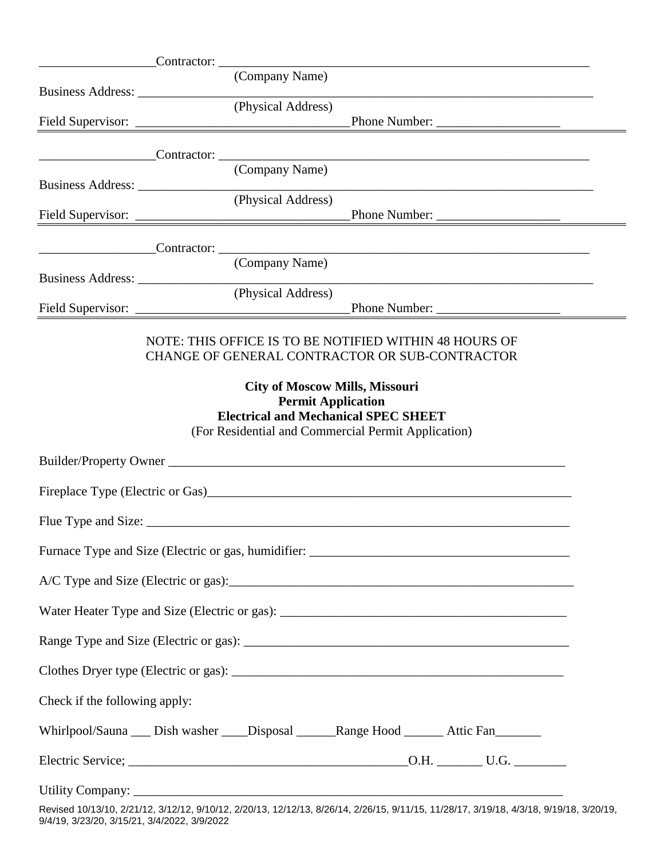| Business Address:             | (Company Name)                                                                                                                                                           |                                                                                                                  |
|-------------------------------|--------------------------------------------------------------------------------------------------------------------------------------------------------------------------|------------------------------------------------------------------------------------------------------------------|
|                               | (Physical Address)                                                                                                                                                       |                                                                                                                  |
|                               |                                                                                                                                                                          |                                                                                                                  |
|                               | (Company Name)                                                                                                                                                           |                                                                                                                  |
|                               |                                                                                                                                                                          | Business Address: (Physical Address)                                                                             |
|                               |                                                                                                                                                                          |                                                                                                                  |
|                               | (Company Name)                                                                                                                                                           |                                                                                                                  |
|                               | (Physical Address)                                                                                                                                                       | Phone Number:                                                                                                    |
|                               | NOTE: THIS OFFICE IS TO BE NOTIFIED WITHIN 48 HOURS OF<br>CHANGE OF GENERAL CONTRACTOR OR SUB-CONTRACTOR                                                                 |                                                                                                                  |
|                               | <b>City of Moscow Mills, Missouri</b><br><b>Permit Application</b><br><b>Electrical and Mechanical SPEC SHEET</b><br>(For Residential and Commercial Permit Application) |                                                                                                                  |
|                               | Builder/Property Owner                                                                                                                                                   |                                                                                                                  |
|                               |                                                                                                                                                                          |                                                                                                                  |
|                               |                                                                                                                                                                          |                                                                                                                  |
|                               |                                                                                                                                                                          |                                                                                                                  |
|                               |                                                                                                                                                                          |                                                                                                                  |
|                               |                                                                                                                                                                          |                                                                                                                  |
|                               |                                                                                                                                                                          |                                                                                                                  |
|                               |                                                                                                                                                                          |                                                                                                                  |
| Check if the following apply: |                                                                                                                                                                          |                                                                                                                  |
|                               | Whirlpool/Sauna __ Dish washer ___ Disposal ______ Range Hood ______ Attic Fan_______                                                                                    |                                                                                                                  |
|                               |                                                                                                                                                                          |                                                                                                                  |
|                               |                                                                                                                                                                          | Roviced 10/12/10 2010/12 CHOICE THE 11/2010 2112012 ANDIA 2010/12 2112012 CHOICE CHOICE CHICLE CHOICE 10/14/2010 |